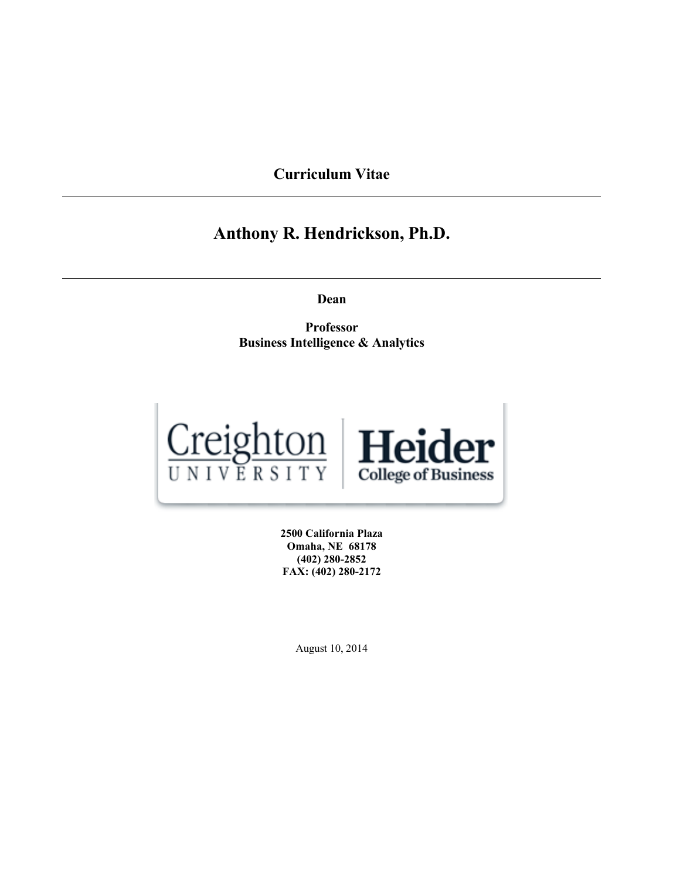**Curriculum Vitae**

# **Anthony R. Hendrickson, Ph.D.**

**Dean**

**Professor Business Intelligence & Analytics**



**2500 California Plaza Omaha, NE 68178 (402) 280-2852 FAX: (402) 280-2172**

August 10, 2014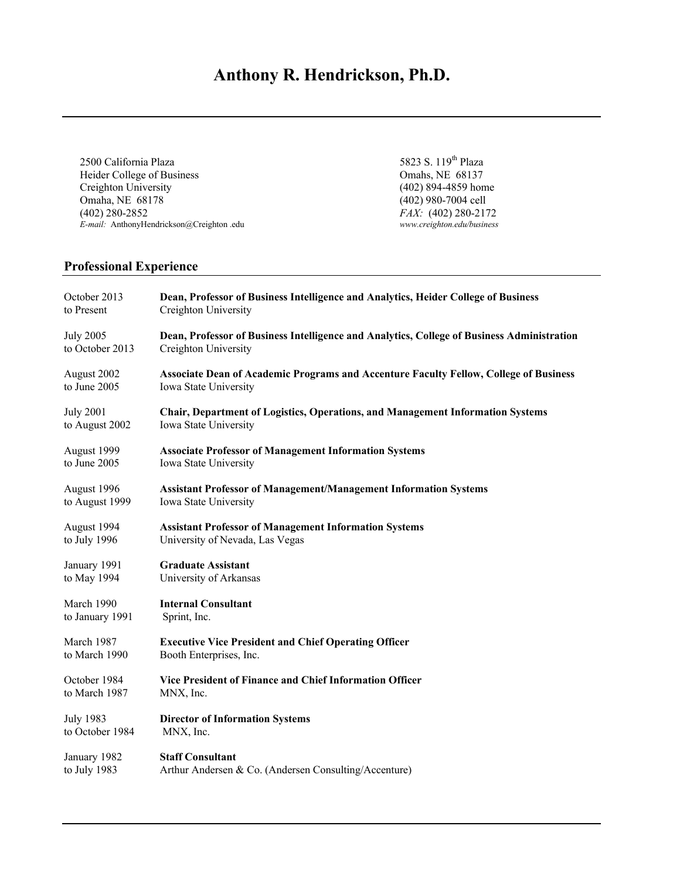# **Anthony R. Hendrickson, Ph.D.**

2500 California Plaza<br>
Heider College of Business<br>
2500 California Plaza<br>
2500 California Plaza<br>
3823 S. 119<sup>th</sup> Plaza<br>
268137 Heider College of Business<br>Creighton University Omaha, NE 68178 (402) 980-7004 cell<br>
(402) 280-2852 *FAX*: (402) 280-217 *E-mail:* AnthonyHendrickson@Creighton .edu *www.creighton.edu/business*

(402) 894-4859 home FAX: (402) 280-2172<br>www.creighton.edu/business

# **Professional Experience**

| October 2013     | Dean, Professor of Business Intelligence and Analytics, Heider College of Business           |
|------------------|----------------------------------------------------------------------------------------------|
| to Present       | Creighton University                                                                         |
| <b>July 2005</b> | Dean, Professor of Business Intelligence and Analytics, College of Business Administration   |
| to October 2013  | Creighton University                                                                         |
| August 2002      | <b>Associate Dean of Academic Programs and Accenture Faculty Fellow, College of Business</b> |
| to June 2005     | Iowa State University                                                                        |
| <b>July 2001</b> | <b>Chair, Department of Logistics, Operations, and Management Information Systems</b>        |
| to August 2002   | Iowa State University                                                                        |
| August 1999      | <b>Associate Professor of Management Information Systems</b>                                 |
| to June 2005     | Iowa State University                                                                        |
| August 1996      | <b>Assistant Professor of Management/Management Information Systems</b>                      |
| to August 1999   | Iowa State University                                                                        |
| August 1994      | <b>Assistant Professor of Management Information Systems</b>                                 |
| to July 1996     | University of Nevada, Las Vegas                                                              |
| January 1991     | <b>Graduate Assistant</b>                                                                    |
| to May 1994      | University of Arkansas                                                                       |
| March 1990       | <b>Internal Consultant</b>                                                                   |
| to January 1991  | Sprint, Inc.                                                                                 |
| March 1987       | <b>Executive Vice President and Chief Operating Officer</b>                                  |
| to March 1990    | Booth Enterprises, Inc.                                                                      |
| October 1984     | Vice President of Finance and Chief Information Officer                                      |
| to March 1987    | MNX, Inc.                                                                                    |
| <b>July 1983</b> | <b>Director of Information Systems</b>                                                       |
| to October 1984  | MNX, Inc.                                                                                    |
| January 1982     | <b>Staff Consultant</b>                                                                      |
| to July 1983     | Arthur Andersen & Co. (Andersen Consulting/Accenture)                                        |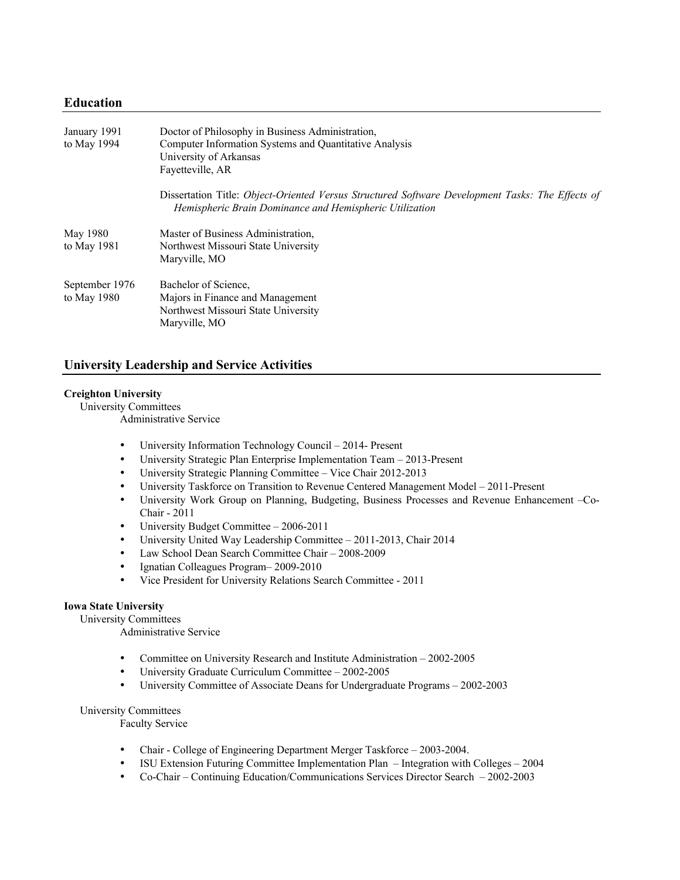# **Education**

| January 1991<br>to May 1994     | Doctor of Philosophy in Business Administration,<br>Computer Information Systems and Quantitative Analysis<br>University of Arkansas<br>Fayetteville, AR    |
|---------------------------------|-------------------------------------------------------------------------------------------------------------------------------------------------------------|
|                                 | Dissertation Title: Object-Oriented Versus Structured Software Development Tasks: The Effects of<br>Hemispheric Brain Dominance and Hemispheric Utilization |
| May 1980<br>to May 1981         | Master of Business Administration,<br>Northwest Missouri State University<br>Maryville, MO                                                                  |
| September 1976<br>to May $1980$ | Bachelor of Science.<br>Majors in Finance and Management<br>Northwest Missouri State University<br>Maryville, MO                                            |

# **University Leadership and Service Activities**

# **Creighton University**

University Committees

Administrative Service

- University Information Technology Council 2014- Present
- University Strategic Plan Enterprise Implementation Team 2013-Present
- University Strategic Planning Committee Vice Chair 2012-2013
- University Taskforce on Transition to Revenue Centered Management Model 2011-Present
- University Work Group on Planning, Budgeting, Business Processes and Revenue Enhancement –Co-Chair - 2011
- University Budget Committee 2006-2011
- University United Way Leadership Committee 2011-2013, Chair 2014
- Law School Dean Search Committee Chair 2008-2009
- Ignatian Colleagues Program– 2009-2010
- Vice President for University Relations Search Committee 2011

### **Iowa State University**

University Committees

Administrative Service

- Committee on University Research and Institute Administration 2002-2005
- University Graduate Curriculum Committee 2002-2005
- University Committee of Associate Deans for Undergraduate Programs 2002-2003

#### University Committees

Faculty Service

- Chair College of Engineering Department Merger Taskforce 2003-2004.
- ISU Extension Futuring Committee Implementation Plan Integration with Colleges 2004
- Co-Chair Continuing Education/Communications Services Director Search 2002-2003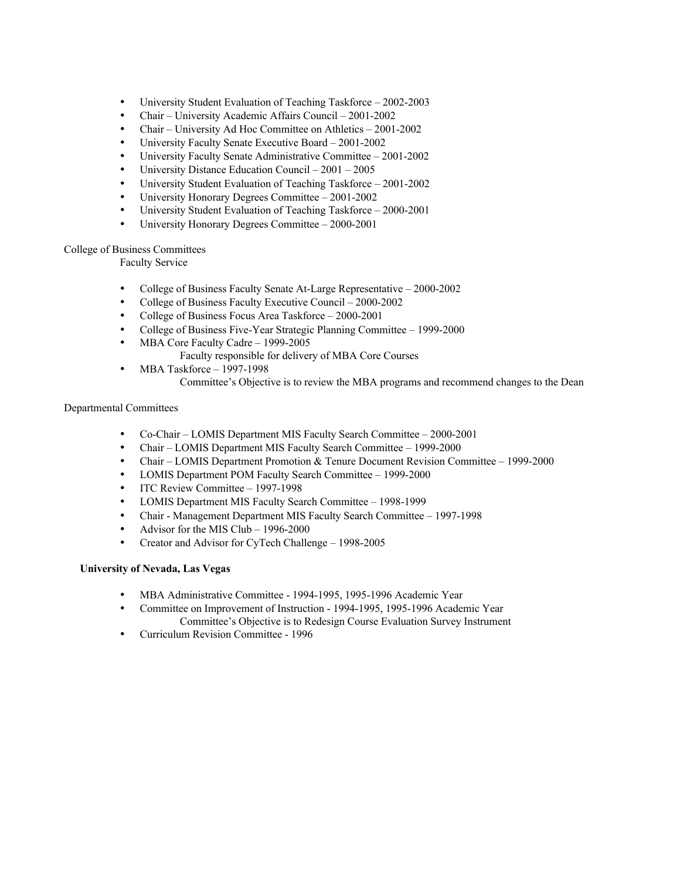- University Student Evaluation of Teaching Taskforce 2002-2003
- Chair University Academic Affairs Council 2001-2002
- Chair University Ad Hoc Committee on Athletics 2001-2002
- University Faculty Senate Executive Board 2001-2002
- University Faculty Senate Administrative Committee 2001-2002
- University Distance Education Council 2001 2005
- University Student Evaluation of Teaching Taskforce 2001-2002
- University Honorary Degrees Committee 2001-2002
- University Student Evaluation of Teaching Taskforce 2000-2001
- University Honorary Degrees Committee 2000-2001

# College of Business Committees

Faculty Service

- College of Business Faculty Senate At-Large Representative 2000-2002
- College of Business Faculty Executive Council 2000-2002
- College of Business Focus Area Taskforce 2000-2001
	- College of Business Five-Year Strategic Planning Committee 1999-2000
- MBA Core Faculty Cadre 1999-2005
	- Faculty responsible for delivery of MBA Core Courses
- MBA Taskforce 1997-1998
	- Committee's Objective is to review the MBA programs and recommend changes to the Dean

#### Departmental Committees

- Co-Chair LOMIS Department MIS Faculty Search Committee 2000-2001
- Chair LOMIS Department MIS Faculty Search Committee 1999-2000
- Chair LOMIS Department Promotion & Tenure Document Revision Committee 1999-2000
- LOMIS Department POM Faculty Search Committee 1999-2000<br>• ITC Review Committee 1997-1998
- ITC Review Committee 1997-1998
- LOMIS Department MIS Faculty Search Committee 1998-1999
- Chair Management Department MIS Faculty Search Committee 1997-1998
- Advisor for the MIS Club 1996-2000
- Creator and Advisor for CyTech Challenge 1998-2005

# **University of Nevada, Las Vegas**

- MBA Administrative Committee 1994-1995, 1995-1996 Academic Year
- Committee on Improvement of Instruction 1994-1995, 1995-1996 Academic Year Committee's Objective is to Redesign Course Evaluation Survey Instrument
- Curriculum Revision Committee 1996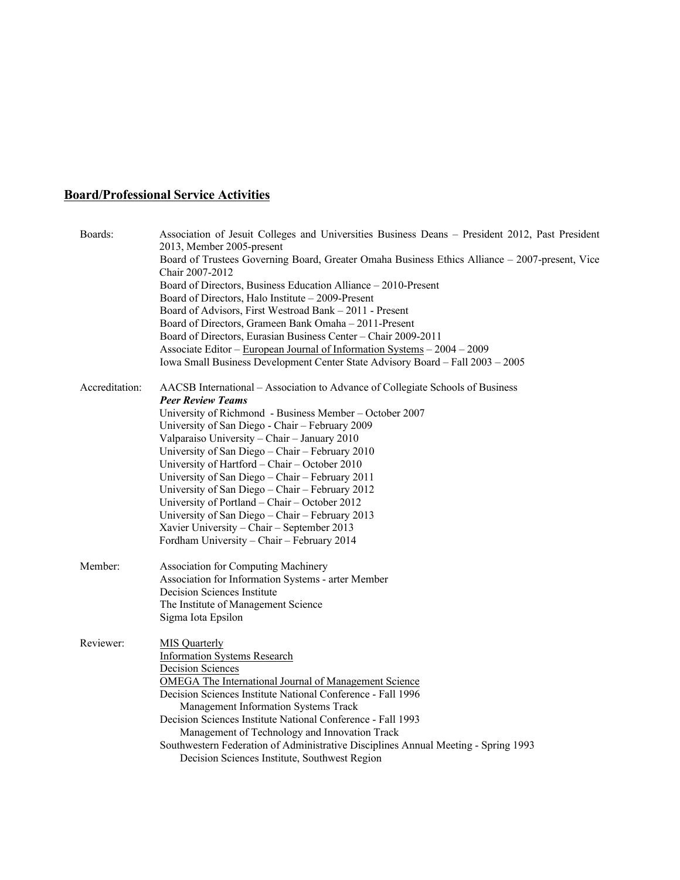# **Board/Professional Service Activities**

| Boards:        | Association of Jesuit Colleges and Universities Business Deans - President 2012, Past President<br>2013, Member 2005-present<br>Board of Trustees Governing Board, Greater Omaha Business Ethics Alliance - 2007-present, Vice<br>Chair 2007-2012<br>Board of Directors, Business Education Alliance – 2010-Present<br>Board of Directors, Halo Institute - 2009-Present<br>Board of Advisors, First Westroad Bank - 2011 - Present<br>Board of Directors, Grameen Bank Omaha - 2011-Present<br>Board of Directors, Eurasian Business Center - Chair 2009-2011<br>Associate Editor - European Journal of Information Systems - 2004 - 2009<br>Iowa Small Business Development Center State Advisory Board - Fall 2003 - 2005 |
|----------------|------------------------------------------------------------------------------------------------------------------------------------------------------------------------------------------------------------------------------------------------------------------------------------------------------------------------------------------------------------------------------------------------------------------------------------------------------------------------------------------------------------------------------------------------------------------------------------------------------------------------------------------------------------------------------------------------------------------------------|
| Accreditation: | AACSB International – Association to Advance of Collegiate Schools of Business<br><b>Peer Review Teams</b><br>University of Richmond - Business Member - October 2007<br>University of San Diego - Chair - February 2009<br>Valparaiso University - Chair - January 2010<br>University of San Diego - Chair - February 2010<br>University of Hartford - Chair - October 2010<br>University of San Diego - Chair - February 2011<br>University of San Diego – Chair – February 2012<br>University of Portland - Chair - October 2012<br>University of San Diego - Chair - February 2013<br>Xavier University - Chair - September 2013<br>Fordham University - Chair - February 2014                                           |
| Member:        | <b>Association for Computing Machinery</b><br>Association for Information Systems - arter Member<br>Decision Sciences Institute<br>The Institute of Management Science<br>Sigma Iota Epsilon                                                                                                                                                                                                                                                                                                                                                                                                                                                                                                                                 |
| Reviewer:      | <b>MIS</b> Quarterly<br><b>Information Systems Research</b><br><b>Decision Sciences</b><br>OMEGA The International Journal of Management Science<br>Decision Sciences Institute National Conference - Fall 1996<br>Management Information Systems Track<br>Decision Sciences Institute National Conference - Fall 1993<br>Management of Technology and Innovation Track<br>Southwestern Federation of Administrative Disciplines Annual Meeting - Spring 1993<br>Decision Sciences Institute, Southwest Region                                                                                                                                                                                                               |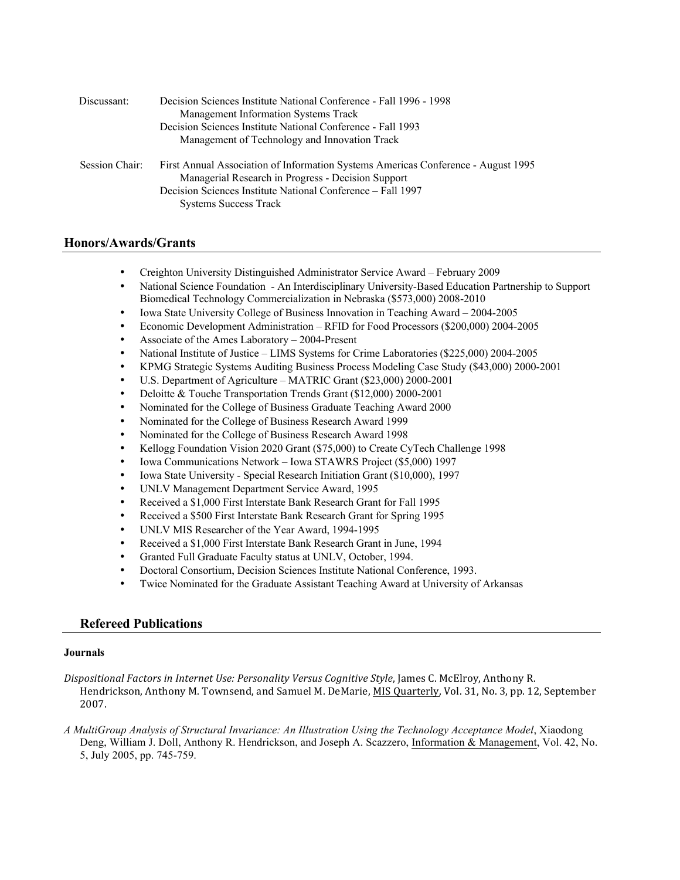| Discussant:    | Decision Sciences Institute National Conference - Fall 1996 - 1998<br>Management Information Systems Track<br>Decision Sciences Institute National Conference - Fall 1993<br>Management of Technology and Innovation Track             |
|----------------|----------------------------------------------------------------------------------------------------------------------------------------------------------------------------------------------------------------------------------------|
| Session Chair: | First Annual Association of Information Systems Americas Conference - August 1995<br>Managerial Research in Progress - Decision Support<br>Decision Sciences Institute National Conference – Fall 1997<br><b>Systems Success Track</b> |

# **Honors/Awards/Grants**

- Creighton University Distinguished Administrator Service Award February 2009
- National Science Foundation An Interdisciplinary University-Based Education Partnership to Support Biomedical Technology Commercialization in Nebraska (\$573,000) 2008-2010
- Iowa State University College of Business Innovation in Teaching Award 2004-2005
- Economic Development Administration RFID for Food Processors (\$200,000) 2004-2005
- Associate of the Ames Laboratory 2004-Present
- National Institute of Justice LIMS Systems for Crime Laboratories (\$225,000) 2004-2005
- KPMG Strategic Systems Auditing Business Process Modeling Case Study (\$43,000) 2000-2001
- U.S. Department of Agriculture MATRIC Grant (\$23,000) 2000-2001
- Deloitte & Touche Transportation Trends Grant (\$12,000) 2000-2001
- Nominated for the College of Business Graduate Teaching Award 2000
- Nominated for the College of Business Research Award 1999
- Nominated for the College of Business Research Award 1998
- Kellogg Foundation Vision 2020 Grant (\$75,000) to Create CyTech Challenge 1998
- Iowa Communications Network Iowa STAWRS Project (\$5,000) 1997
- Iowa State University Special Research Initiation Grant (\$10,000), 1997
- UNLV Management Department Service Award, 1995
- Received a \$1,000 First Interstate Bank Research Grant for Fall 1995
- Received a \$500 First Interstate Bank Research Grant for Spring 1995
- UNLV MIS Researcher of the Year Award, 1994-1995
- Received a \$1,000 First Interstate Bank Research Grant in June, 1994
- Granted Full Graduate Faculty status at UNLV, October, 1994.
- Doctoral Consortium, Decision Sciences Institute National Conference, 1993.
- Twice Nominated for the Graduate Assistant Teaching Award at University of Arkansas

## **Refereed Publications**

#### **Journals**

Dispositional Factors in Internet Use: Personality Versus Cognitive Style, James C. McElroy, Anthony R. Hendrickson, Anthony M. Townsend, and Samuel M. DeMarie, MIS Quarterly, Vol. 31, No. 3, pp. 12, September 2007. 

*A MultiGroup Analysis of Structural Invariance: An Illustration Using the Technology Acceptance Model*, Xiaodong Deng, William J. Doll, Anthony R. Hendrickson, and Joseph A. Scazzero, Information & Management, Vol. 42, No. 5, July 2005, pp. 745-759.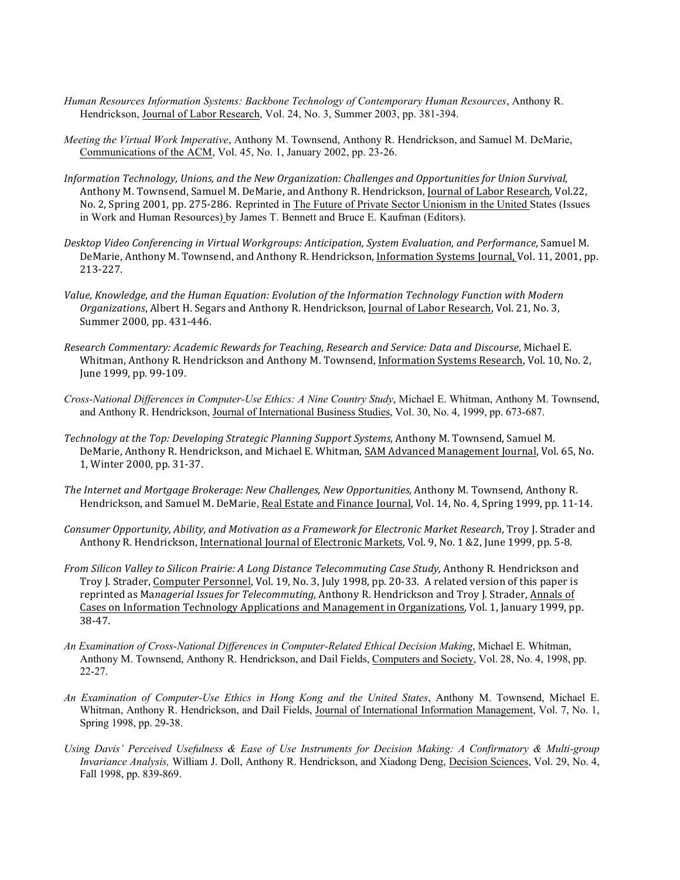- *Human Resources Information Systems: Backbone Technology of Contemporary Human Resources*, Anthony R. Hendrickson, Journal of Labor Research, Vol. 24, No. 3, Summer 2003, pp. 381-394.
- *Meeting the Virtual Work Imperative*, Anthony M. Townsend, Anthony R. Hendrickson, and Samuel M. DeMarie, Communications of the ACM, Vol. 45, No. 1, January 2002, pp. 23-26.
- *Information Technology, Unions, and the New Organization: Challenges and Opportunities for Union Survival,* Anthony M. Townsend, Samuel M. DeMarie, and Anthony R. Hendrickson, Journal of Labor Research, Vol.22, No. 2, Spring 2001, pp. 275-286. Reprinted in The Future of Private Sector Unionism in the United States (Issues in Work and Human Resources) by James T. Bennett and Bruce E. Kaufman (Editors).
- *Desktop Video Conferencing in Virtual Workgroups: Anticipation, System Evaluation, and Performance*, Samuel M. DeMarie, Anthony M. Townsend, and Anthony R. Hendrickson, Information Systems Journal, Vol. 11, 2001, pp. 213-227.
- Value, Knowledge, and the Human Equation: Evolution of the Information Technology Function with Modern *Organizations*, Albert H. Segars and Anthony R. Hendrickson, Journal of Labor Research, Vol. 21, No. 3, Summer 2000, pp. 431-446.
- *Research Commentary: Academic Rewards for Teaching, Research and Service: Data and Discourse*, Michael E. Whitman, Anthony R. Hendrickson and Anthony M. Townsend, Information Systems Research, Vol. 10, No. 2, June 1999, pp. 99-109.
- *Cross-National Differences in Computer-Use Ethics: A Nine Country Study*, Michael E. Whitman, Anthony M. Townsend, and Anthony R. Hendrickson, Journal of International Business Studies, Vol. 30, No. 4, 1999, pp. 673-687.
- Technology at the Top: Developing Strategic Planning Support Systems, Anthony M. Townsend, Samuel M. DeMarie, Anthony R. Hendrickson, and Michael E. Whitman, SAM Advanced Management Journal, Vol. 65, No. 1, Winter 2000, pp. 31-37.
- The Internet and Mortgage Brokerage: New Challenges, New Opportunities, Anthony M. Townsend, Anthony R. Hendrickson, and Samuel M. DeMarie, Real Estate and Finance Journal, Vol. 14, No. 4, Spring 1999, pp. 11-14.
- *Consumer Opportunity, Ability, and Motivation as a Framework for Electronic Market Research*, Troy J. Strader and Anthony R. Hendrickson, International Journal of Electronic Markets, Vol. 9, No. 1 & 2, June 1999, pp. 5-8.
- *From Silicon Valley to Silicon Prairie: A Long Distance Telecommuting Case Study, Anthony R. Hendrickson and* Troy J. Strader, Computer Personnel, Vol. 19, No. 3, July 1998, pp. 20-33. A related version of this paper is reprinted as Managerial Issues for Telecommuting, Anthony R. Hendrickson and Troy J. Strader, Annals of Cases on Information Technology Applications and Management in Organizations, Vol. 1, January 1999, pp. 38-47.
- *An Examination of Cross-National Differences in Computer-Related Ethical Decision Making*, Michael E. Whitman, Anthony M. Townsend, Anthony R. Hendrickson, and Dail Fields, Computers and Society, Vol. 28, No. 4, 1998, pp. 22-27.
- *An Examination of Computer-Use Ethics in Hong Kong and the United States*, Anthony M. Townsend, Michael E. Whitman, Anthony R. Hendrickson, and Dail Fields, Journal of International Information Management, Vol. 7, No. 1, Spring 1998, pp. 29-38.
- *Using Davis' Perceived Usefulness & Ease of Use Instruments for Decision Making: A Confirmatory & Multi-group Invariance Analysis,* William J. Doll, Anthony R. Hendrickson, and Xiadong Deng, Decision Sciences, Vol. 29, No. 4, Fall 1998, pp. 839-869.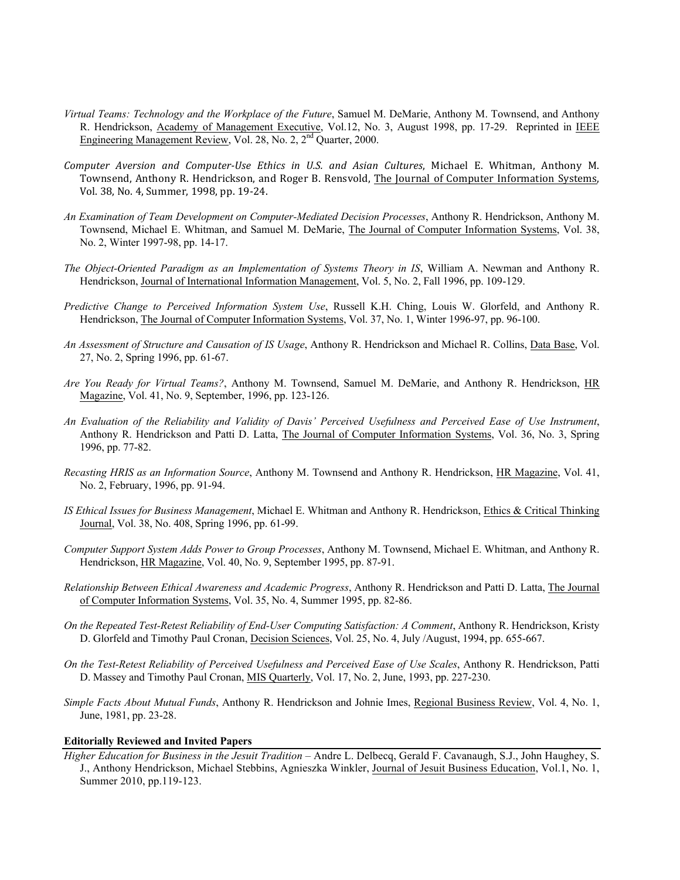- *Virtual Teams: Technology and the Workplace of the Future*, Samuel M. DeMarie, Anthony M. Townsend, and Anthony R. Hendrickson, Academy of Management Executive, Vol.12, No. 3, August 1998, pp. 17-29. Reprinted in IEEE Engineering Management Review, Vol. 28, No. 2, 2nd Quarter, 2000.
- *Computer Aversion and Computer-Use Ethics in U.S. and Asian Cultures*, Michael E. Whitman, Anthony M. Townsend, Anthony R. Hendrickson, and Roger B. Rensvold, The Journal of Computer Information Systems, Vol. 38, No. 4, Summer, 1998, pp. 19-24.
- *An Examination of Team Development on Computer-Mediated Decision Processes*, Anthony R. Hendrickson, Anthony M. Townsend, Michael E. Whitman, and Samuel M. DeMarie, The Journal of Computer Information Systems, Vol. 38, No. 2, Winter 1997-98, pp. 14-17.
- *The Object-Oriented Paradigm as an Implementation of Systems Theory in IS*, William A. Newman and Anthony R. Hendrickson, Journal of International Information Management, Vol. 5, No. 2, Fall 1996, pp. 109-129.
- *Predictive Change to Perceived Information System Use*, Russell K.H. Ching, Louis W. Glorfeld, and Anthony R. Hendrickson, The Journal of Computer Information Systems, Vol. 37, No. 1, Winter 1996-97, pp. 96-100.
- *An Assessment of Structure and Causation of IS Usage*, Anthony R. Hendrickson and Michael R. Collins, Data Base, Vol. 27, No. 2, Spring 1996, pp. 61-67.
- *Are You Ready for Virtual Teams?*, Anthony M. Townsend, Samuel M. DeMarie, and Anthony R. Hendrickson, HR Magazine, Vol. 41, No. 9, September, 1996, pp. 123-126.
- *An Evaluation of the Reliability and Validity of Davis' Perceived Usefulness and Perceived Ease of Use Instrument*, Anthony R. Hendrickson and Patti D. Latta, The Journal of Computer Information Systems, Vol. 36, No. 3, Spring 1996, pp. 77-82.
- *Recasting HRIS as an Information Source*, Anthony M. Townsend and Anthony R. Hendrickson, HR Magazine, Vol. 41, No. 2, February, 1996, pp. 91-94.
- *IS Ethical Issues for Business Management*, Michael E. Whitman and Anthony R. Hendrickson, Ethics & Critical Thinking Journal, Vol. 38, No. 408, Spring 1996, pp. 61-99.
- *Computer Support System Adds Power to Group Processes*, Anthony M. Townsend, Michael E. Whitman, and Anthony R. Hendrickson, HR Magazine, Vol. 40, No. 9, September 1995, pp. 87-91.
- *Relationship Between Ethical Awareness and Academic Progress*, Anthony R. Hendrickson and Patti D. Latta, The Journal of Computer Information Systems, Vol. 35, No. 4, Summer 1995, pp. 82-86.
- *On the Repeated Test-Retest Reliability of End-User Computing Satisfaction: A Comment*, Anthony R. Hendrickson, Kristy D. Glorfeld and Timothy Paul Cronan, Decision Sciences, Vol. 25, No. 4, July /August, 1994, pp. 655-667.
- *On the Test-Retest Reliability of Perceived Usefulness and Perceived Ease of Use Scales*, Anthony R. Hendrickson, Patti D. Massey and Timothy Paul Cronan, MIS Quarterly, Vol. 17, No. 2, June, 1993, pp. 227-230.
- *Simple Facts About Mutual Funds*, Anthony R. Hendrickson and Johnie Imes, Regional Business Review, Vol. 4, No. 1, June, 1981, pp. 23-28.

#### **Editorially Reviewed and Invited Papers**

*Higher Education for Business in the Jesuit Tradition –* Andre L. Delbecq, Gerald F. Cavanaugh, S.J., John Haughey, S. J., Anthony Hendrickson, Michael Stebbins, Agnieszka Winkler, Journal of Jesuit Business Education, Vol.1, No. 1, Summer 2010, pp.119-123.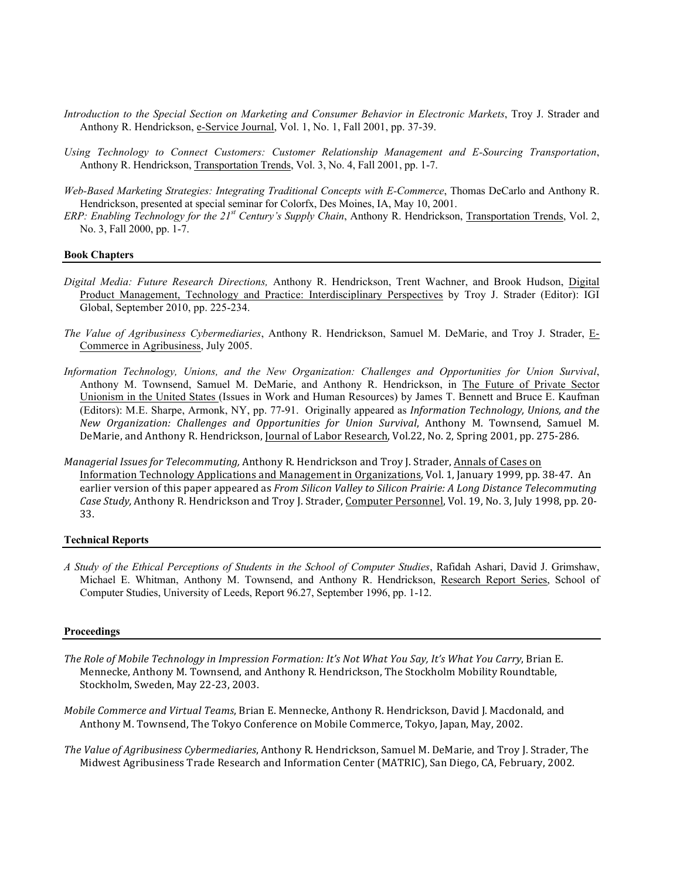- *Introduction to the Special Section on Marketing and Consumer Behavior in Electronic Markets*, Troy J. Strader and Anthony R. Hendrickson, e-Service Journal, Vol. 1, No. 1, Fall 2001, pp. 37-39.
- *Using Technology to Connect Customers: Customer Relationship Management and E-Sourcing Transportation*, Anthony R. Hendrickson, Transportation Trends, Vol. 3, No. 4, Fall 2001, pp. 1-7.
- *Web-Based Marketing Strategies: Integrating Traditional Concepts with E-Commerce*, Thomas DeCarlo and Anthony R. Hendrickson, presented at special seminar for Colorfx, Des Moines, IA, May 10, 2001.
- *ERP: Enabling Technology for the 21st Century's Supply Chain*, Anthony R. Hendrickson, Transportation Trends, Vol. 2, No. 3, Fall 2000, pp. 1-7.

#### **Book Chapters**

- *Digital Media: Future Research Directions,* Anthony R. Hendrickson, Trent Wachner, and Brook Hudson, Digital Product Management, Technology and Practice: Interdisciplinary Perspectives by Troy J. Strader (Editor): IGI Global, September 2010, pp. 225-234.
- *The Value of Agribusiness Cybermediaries*, Anthony R. Hendrickson, Samuel M. DeMarie, and Troy J. Strader, E-Commerce in Agribusiness, July 2005.
- *Information Technology, Unions, and the New Organization: Challenges and Opportunities for Union Survival*, Anthony M. Townsend, Samuel M. DeMarie, and Anthony R. Hendrickson, in The Future of Private Sector Unionism in the United States (Issues in Work and Human Resources) by James T. Bennett and Bruce E. Kaufman (Editors): M.E. Sharpe, Armonk, NY, pp. 77-91. Originally appeared as *Information Technology, Unions, and the New Organization: Challenges and Opportunities for Union Survival*, Anthony M. Townsend, Samuel M. DeMarie, and Anthony R. Hendrickson, Journal of Labor Research, Vol.22, No. 2, Spring 2001, pp. 275-286.
- *Managerial Issues for Telecommuting, Anthony R. Hendrickson and Troy J. Strader, Annals of Cases on* Information Technology Applications and Management in Organizations, Vol. 1, January 1999, pp. 38-47. An earlier version of this paper appeared as *From Silicon Valley to Silicon Prairie: A Long Distance Telecommuting Case Study, Anthony R. Hendrickson and Troy J. Strader, Computer Personnel, Vol. 19, No. 3, July 1998, pp. 20-*33.

#### **Technical Reports**

*A Study of the Ethical Perceptions of Students in the School of Computer Studies*, Rafidah Ashari, David J. Grimshaw, Michael E. Whitman, Anthony M. Townsend, and Anthony R. Hendrickson, Research Report Series, School of Computer Studies, University of Leeds, Report 96.27, September 1996, pp. 1-12.

#### **Proceedings**

- The Role of Mobile Technology in Impression Formation: It's Not What You Say, It's What You Carry, Brian E. Mennecke, Anthony M. Townsend, and Anthony R. Hendrickson, The Stockholm Mobility Roundtable, Stockholm, Sweden, May 22-23, 2003.
- *Mobile Commerce and Virtual Teams*, Brian E. Mennecke, Anthony R. Hendrickson, David J. Macdonald, and Anthony M. Townsend, The Tokyo Conference on Mobile Commerce, Tokyo, Japan, May, 2002.

The Value of Agribusiness Cybermediaries, Anthony R. Hendrickson, Samuel M. DeMarie, and Troy J. Strader, The Midwest Agribusiness Trade Research and Information Center (MATRIC), San Diego, CA, February, 2002.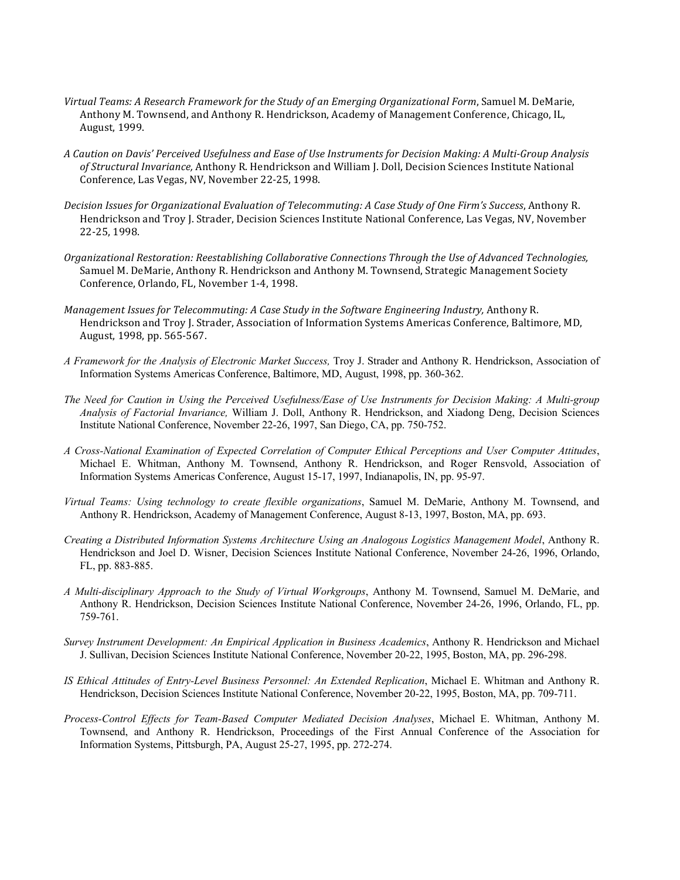- Virtual Teams: A Research Framework for the Study of an Emerging Organizational Form, Samuel M. DeMarie, Anthony M. Townsend, and Anthony R. Hendrickson, Academy of Management Conference, Chicago, IL, August, 1999.
- *A Caution on Davis' Perceived Usefulness and Ease of Use Instruments for Decision Making: A Multi-Group Analysis*  of Structural Invariance, Anthony R. Hendrickson and William J. Doll, Decision Sciences Institute National Conference, Las Vegas, NV, November 22-25, 1998.
- *Decision Issues for Organizational Evaluation of Telecommuting: A Case Study of One Firm's Success, Anthony R.* Hendrickson and Troy J. Strader, Decision Sciences Institute National Conference, Las Vegas, NV, November 22-25, 1998.
- *Organizational Restoration: Reestablishing Collaborative Connections Through the Use of Advanced Technologies,* Samuel M. DeMarie, Anthony R. Hendrickson and Anthony M. Townsend, Strategic Management Society Conference, Orlando, FL, November 1-4, 1998.
- *Management Issues for Telecommuting: A Case Study in the Software Engineering Industry, Anthony R.* Hendrickson and Troy J. Strader, Association of Information Systems Americas Conference, Baltimore, MD, August, 1998, pp. 565-567.
- *A Framework for the Analysis of Electronic Market Success,* Troy J. Strader and Anthony R. Hendrickson, Association of Information Systems Americas Conference, Baltimore, MD, August, 1998, pp. 360-362.
- *The Need for Caution in Using the Perceived Usefulness/Ease of Use Instruments for Decision Making: A Multi-group Analysis of Factorial Invariance,* William J. Doll, Anthony R. Hendrickson, and Xiadong Deng, Decision Sciences Institute National Conference, November 22-26, 1997, San Diego, CA, pp. 750-752.
- *A Cross-National Examination of Expected Correlation of Computer Ethical Perceptions and User Computer Attitudes*, Michael E. Whitman, Anthony M. Townsend, Anthony R. Hendrickson, and Roger Rensvold, Association of Information Systems Americas Conference, August 15-17, 1997, Indianapolis, IN, pp. 95-97.
- *Virtual Teams: Using technology to create flexible organizations*, Samuel M. DeMarie, Anthony M. Townsend, and Anthony R. Hendrickson, Academy of Management Conference, August 8-13, 1997, Boston, MA, pp. 693.
- *Creating a Distributed Information Systems Architecture Using an Analogous Logistics Management Model*, Anthony R. Hendrickson and Joel D. Wisner, Decision Sciences Institute National Conference, November 24-26, 1996, Orlando, FL, pp. 883-885.
- *A Multi-disciplinary Approach to the Study of Virtual Workgroups*, Anthony M. Townsend, Samuel M. DeMarie, and Anthony R. Hendrickson, Decision Sciences Institute National Conference, November 24-26, 1996, Orlando, FL, pp. 759-761.
- *Survey Instrument Development: An Empirical Application in Business Academics*, Anthony R. Hendrickson and Michael J. Sullivan, Decision Sciences Institute National Conference, November 20-22, 1995, Boston, MA, pp. 296-298.
- *IS Ethical Attitudes of Entry-Level Business Personnel: An Extended Replication*, Michael E. Whitman and Anthony R. Hendrickson, Decision Sciences Institute National Conference, November 20-22, 1995, Boston, MA, pp. 709-711.
- *Process-Control Effects for Team-Based Computer Mediated Decision Analyses*, Michael E. Whitman, Anthony M. Townsend, and Anthony R. Hendrickson, Proceedings of the First Annual Conference of the Association for Information Systems, Pittsburgh, PA, August 25-27, 1995, pp. 272-274.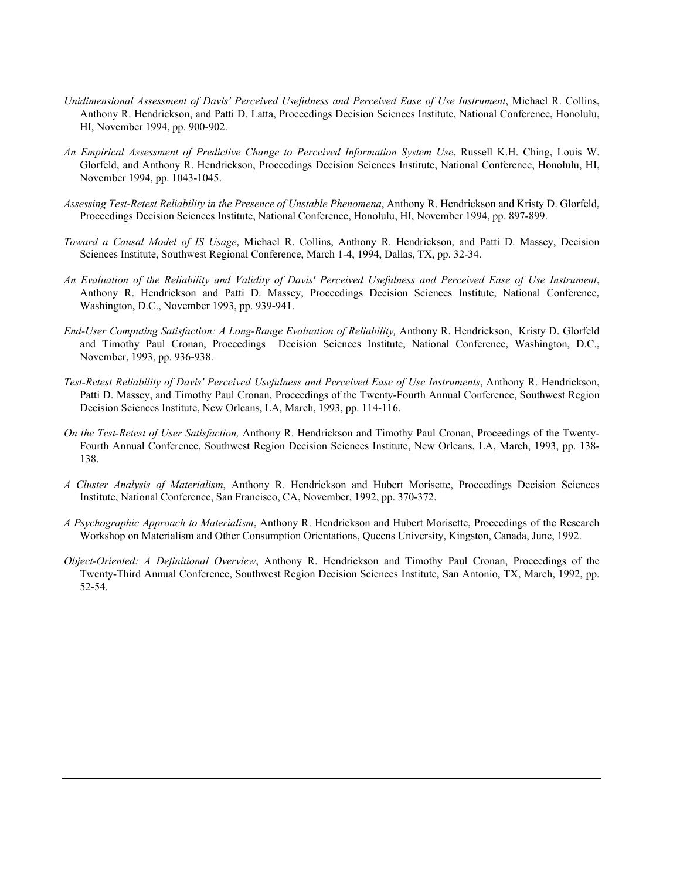- *Unidimensional Assessment of Davis' Perceived Usefulness and Perceived Ease of Use Instrument*, Michael R. Collins, Anthony R. Hendrickson, and Patti D. Latta, Proceedings Decision Sciences Institute, National Conference, Honolulu, HI, November 1994, pp. 900-902.
- *An Empirical Assessment of Predictive Change to Perceived Information System Use*, Russell K.H. Ching, Louis W. Glorfeld, and Anthony R. Hendrickson, Proceedings Decision Sciences Institute, National Conference, Honolulu, HI, November 1994, pp. 1043-1045.
- *Assessing Test-Retest Reliability in the Presence of Unstable Phenomena*, Anthony R. Hendrickson and Kristy D. Glorfeld, Proceedings Decision Sciences Institute, National Conference, Honolulu, HI, November 1994, pp. 897-899.
- *Toward a Causal Model of IS Usage*, Michael R. Collins, Anthony R. Hendrickson, and Patti D. Massey, Decision Sciences Institute, Southwest Regional Conference, March 1-4, 1994, Dallas, TX, pp. 32-34.
- *An Evaluation of the Reliability and Validity of Davis' Perceived Usefulness and Perceived Ease of Use Instrument*, Anthony R. Hendrickson and Patti D. Massey, Proceedings Decision Sciences Institute, National Conference, Washington, D.C., November 1993, pp. 939-941.
- *End-User Computing Satisfaction: A Long-Range Evaluation of Reliability,* Anthony R. Hendrickson, Kristy D. Glorfeld and Timothy Paul Cronan, Proceedings Decision Sciences Institute, National Conference, Washington, D.C., November, 1993, pp. 936-938.
- *Test-Retest Reliability of Davis' Perceived Usefulness and Perceived Ease of Use Instruments*, Anthony R. Hendrickson, Patti D. Massey, and Timothy Paul Cronan, Proceedings of the Twenty-Fourth Annual Conference, Southwest Region Decision Sciences Institute, New Orleans, LA, March, 1993, pp. 114-116.
- *On the Test-Retest of User Satisfaction,* Anthony R. Hendrickson and Timothy Paul Cronan, Proceedings of the Twenty-Fourth Annual Conference, Southwest Region Decision Sciences Institute, New Orleans, LA, March, 1993, pp. 138- 138.
- *A Cluster Analysis of Materialism*, Anthony R. Hendrickson and Hubert Morisette, Proceedings Decision Sciences Institute, National Conference, San Francisco, CA, November, 1992, pp. 370-372.
- *A Psychographic Approach to Materialism*, Anthony R. Hendrickson and Hubert Morisette, Proceedings of the Research Workshop on Materialism and Other Consumption Orientations, Queens University, Kingston, Canada, June, 1992.
- *Object-Oriented: A Definitional Overview*, Anthony R. Hendrickson and Timothy Paul Cronan, Proceedings of the Twenty-Third Annual Conference, Southwest Region Decision Sciences Institute, San Antonio, TX, March, 1992, pp. 52-54.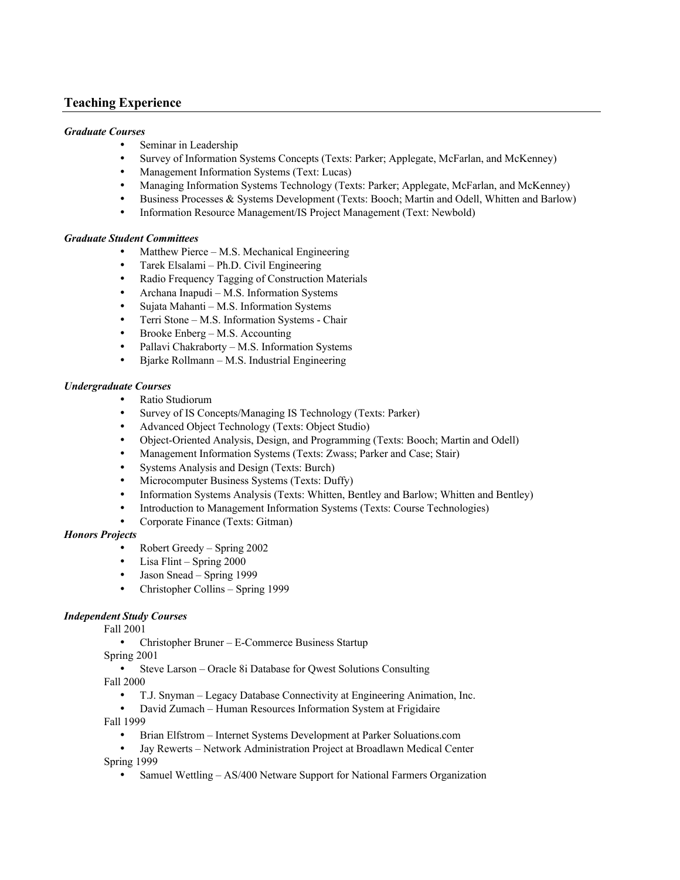# **Teaching Experience**

#### *Graduate Courses*

- Seminar in Leadership
- Survey of Information Systems Concepts (Texts: Parker; Applegate, McFarlan, and McKenney)
- Management Information Systems (Text: Lucas)
- Managing Information Systems Technology (Texts: Parker; Applegate, McFarlan, and McKenney)
- Business Processes & Systems Development (Texts: Booch; Martin and Odell, Whitten and Barlow)
- Information Resource Management/IS Project Management (Text: Newbold)

## *Graduate Student Committees*

- Matthew Pierce M.S. Mechanical Engineering
- Tarek Elsalami Ph.D. Civil Engineering
- Radio Frequency Tagging of Construction Materials
- Archana Inapudi M.S. Information Systems
- Sujata Mahanti M.S. Information Systems
- Terri Stone M.S. Information Systems Chair
- Brooke Enberg M.S. Accounting
- Pallavi Chakraborty M.S. Information Systems
- Bjarke Rollmann M.S. Industrial Engineering

#### *Undergraduate Courses*

- Ratio Studiorum
- Survey of IS Concepts/Managing IS Technology (Texts: Parker)
- Advanced Object Technology (Texts: Object Studio)
- Object-Oriented Analysis, Design, and Programming (Texts: Booch; Martin and Odell)
- Management Information Systems (Texts: Zwass; Parker and Case; Stair)
- Systems Analysis and Design (Texts: Burch)
- Microcomputer Business Systems (Texts: Duffy)
- Information Systems Analysis (Texts: Whitten, Bentley and Barlow; Whitten and Bentley)
- Introduction to Management Information Systems (Texts: Course Technologies)
- Corporate Finance (Texts: Gitman)

#### *Honors Projects*

- Robert Greedy Spring 2002
- Lisa Flint Spring 2000
- Jason Snead Spring 1999
- Christopher Collins Spring 1999

## *Independent Study Courses*

Fall 2001

• Christopher Bruner – E-Commerce Business Startup

Spring 2001

- Steve Larson Oracle 8i Database for Qwest Solutions Consulting Fall 2000
	- T.J. Snyman Legacy Database Connectivity at Engineering Animation, Inc.
- David Zumach Human Resources Information System at Frigidaire Fall 1999
	- Brian Elfstrom Internet Systems Development at Parker Soluations.com
- Jay Rewerts Network Administration Project at Broadlawn Medical Center Spring 1999
	- Samuel Wettling AS/400 Netware Support for National Farmers Organization